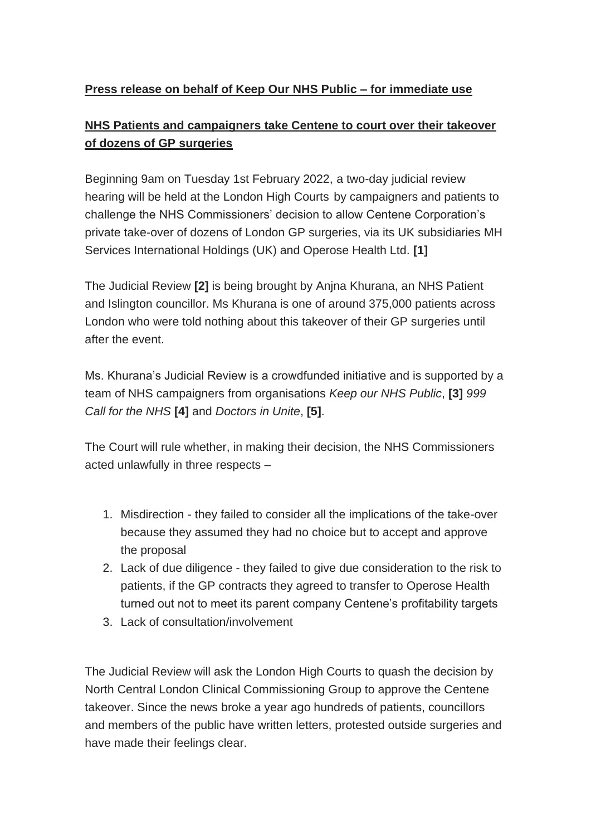## **Press release on behalf of Keep Our NHS Public – for immediate use**

# **NHS Patients and campaigners take Centene to court over their takeover of dozens of GP surgeries**

Beginning 9am on Tuesday 1st February 2022, a two-day judicial review hearing will be held at the London High Courts by campaigners and patients to challenge the NHS Commissioners' decision to allow Centene Corporation's private take-over of dozens of London GP surgeries, via its UK subsidiaries MH Services International Holdings (UK) and Operose Health Ltd. **[1]**

The Judicial Review **[2]** is being brought by Anjna Khurana, an NHS Patient and Islington councillor. Ms Khurana is one of around 375,000 patients across London who were told nothing about this takeover of their GP surgeries until after the event.

Ms. Khurana's Judicial Review is a crowdfunded initiative and is supported by a team of NHS campaigners from organisations *Keep our NHS Public*, **[3]** *999 Call for the NHS* **[4]** and *Doctors in Unite*, **[5]**.

The Court will rule whether, in making their decision, the NHS Commissioners acted unlawfully in three respects –

- 1. Misdirection they failed to consider all the implications of the take-over because they assumed they had no choice but to accept and approve the proposal
- 2. Lack of due diligence they failed to give due consideration to the risk to patients, if the GP contracts they agreed to transfer to Operose Health turned out not to meet its parent company Centene's profitability targets
- 3. Lack of consultation/involvement

The Judicial Review will ask the London High Courts to quash the decision by North Central London Clinical Commissioning Group to approve the Centene takeover. Since the news broke a year ago hundreds of patients, councillors and members of the public have written letters, protested outside surgeries and have made their feelings clear.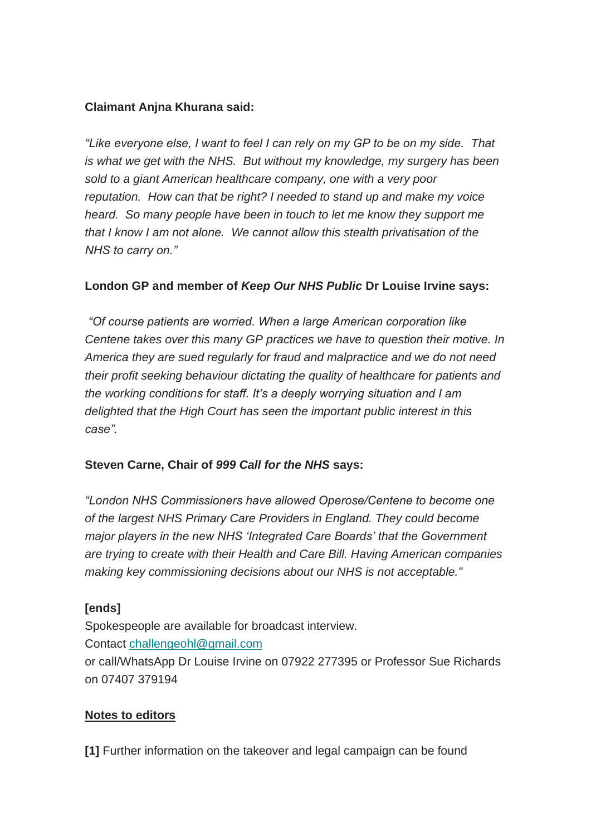## **Claimant Anjna Khurana said:**

*"Like everyone else, I want to feel I can rely on my GP to be on my side. That is what we get with the NHS. But without my knowledge, my surgery has been sold to a giant American healthcare company, one with a very poor reputation. How can that be right? I needed to stand up and make my voice heard. So many people have been in touch to let me know they support me that I know I am not alone. We cannot allow this stealth privatisation of the NHS to carry on."*

## **London GP and member of** *Keep Our NHS Public* **Dr Louise Irvine says:**

*"Of course patients are worried. When a large American corporation like Centene takes over this many GP practices we have to question their motive. In America they are sued regularly for fraud and malpractice and we do not need their profit seeking behaviour dictating the quality of healthcare for patients and the working conditions for staff. It's a deeply worrying situation and I am delighted that the High Court has seen the important public interest in this case".*

### **Steven Carne, Chair of** *999 Call for the NHS* **says:**

*"London NHS Commissioners have allowed Operose/Centene to become one of the largest NHS Primary Care Providers in England. They could become major players in the new NHS 'Integrated Care Boards' that the Government are trying to create with their Health and Care Bill. Having American companies making key commissioning decisions about our NHS is not acceptable."*

### **[ends]**

Spokespeople are available for broadcast interview. Contact [challengeohl@gmail.com](mailto:challengeohl@gmail.com)

or call/WhatsApp Dr Louise Irvine on 07922 277395 or Professor Sue Richards on 07407 379194

### **Notes to editors**

**[1]** Further information on the takeover and legal campaign can be found